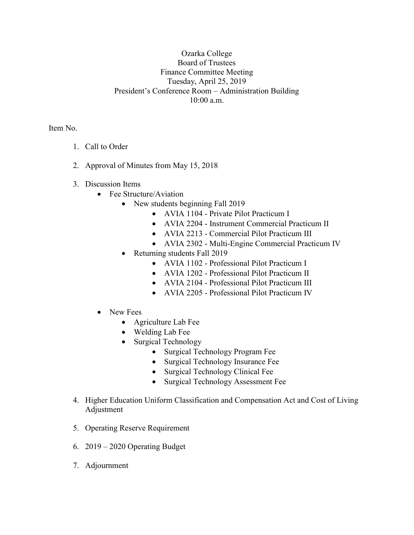## Ozarka College Board of Trustees Finance Committee Meeting Tuesday, April 25, 2019 President's Conference Room – Administration Building 10:00 a.m.

Item No.

- 1. Call to Order
- 2. Approval of Minutes from May 15, 2018
- 3. Discussion Items
	- Fee Structure/Aviation
		- New students beginning Fall 2019
			- AVIA 1104 Private Pilot Practicum I
			- AVIA 2204 Instrument Commercial Practicum II
			- AVIA 2213 Commercial Pilot Practicum III
			- AVIA 2302 Multi-Engine Commercial Practicum IV
		- Returning students Fall 2019
			- AVIA 1102 Professional Pilot Practicum I
			- AVIA 1202 Professional Pilot Practicum II
			- AVIA 2104 Professional Pilot Practicum III
			- AVIA 2205 Professional Pilot Practicum IV
	- New Fees
		- Agriculture Lab Fee
		- Welding Lab Fee
		- Surgical Technology
			- Surgical Technology Program Fee
			- Surgical Technology Insurance Fee
			- Surgical Technology Clinical Fee
			- Surgical Technology Assessment Fee
- 4. Higher Education Uniform Classification and Compensation Act and Cost of Living Adjustment
- 5. Operating Reserve Requirement
- 6. 2019 2020 Operating Budget
- 7. Adjournment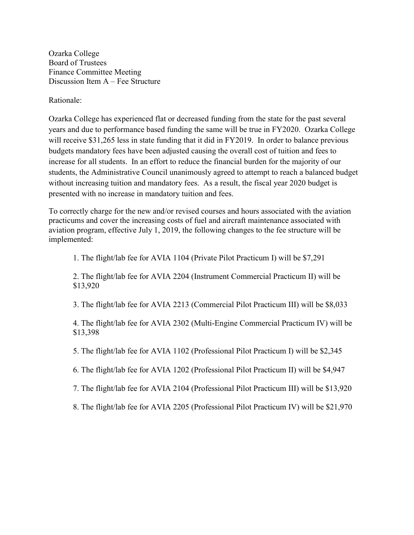Ozarka College Board of Trustees Finance Committee Meeting Discussion Item A – Fee Structure

Rationale:

Ozarka College has experienced flat or decreased funding from the state for the past several years and due to performance based funding the same will be true in FY2020. Ozarka College will receive \$31,265 less in state funding that it did in FY2019. In order to balance previous budgets mandatory fees have been adjusted causing the overall cost of tuition and fees to increase for all students. In an effort to reduce the financial burden for the majority of our students, the Administrative Council unanimously agreed to attempt to reach a balanced budget without increasing tuition and mandatory fees. As a result, the fiscal year 2020 budget is presented with no increase in mandatory tuition and fees.

To correctly charge for the new and/or revised courses and hours associated with the aviation practicums and cover the increasing costs of fuel and aircraft maintenance associated with aviation program, effective July 1, 2019, the following changes to the fee structure will be implemented:

1. The flight/lab fee for AVIA 1104 (Private Pilot Practicum I) will be \$7,291

2. The flight/lab fee for AVIA 2204 (Instrument Commercial Practicum II) will be \$13,920

3. The flight/lab fee for AVIA 2213 (Commercial Pilot Practicum III) will be \$8,033

4. The flight/lab fee for AVIA 2302 (Multi-Engine Commercial Practicum IV) will be \$13,398

5. The flight/lab fee for AVIA 1102 (Professional Pilot Practicum I) will be \$2,345

6. The flight/lab fee for AVIA 1202 (Professional Pilot Practicum II) will be \$4,947

7. The flight/lab fee for AVIA 2104 (Professional Pilot Practicum III) will be \$13,920

8. The flight/lab fee for AVIA 2205 (Professional Pilot Practicum IV) will be \$21,970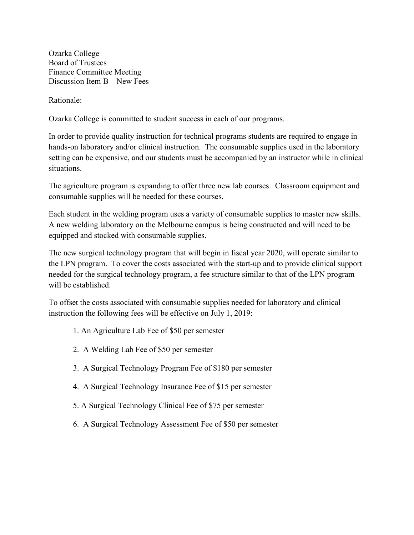Ozarka College Board of Trustees Finance Committee Meeting Discussion Item B – New Fees

Rationale:

Ozarka College is committed to student success in each of our programs.

In order to provide quality instruction for technical programs students are required to engage in hands-on laboratory and/or clinical instruction. The consumable supplies used in the laboratory setting can be expensive, and our students must be accompanied by an instructor while in clinical situations.

The agriculture program is expanding to offer three new lab courses. Classroom equipment and consumable supplies will be needed for these courses.

Each student in the welding program uses a variety of consumable supplies to master new skills. A new welding laboratory on the Melbourne campus is being constructed and will need to be equipped and stocked with consumable supplies.

The new surgical technology program that will begin in fiscal year 2020, will operate similar to the LPN program. To cover the costs associated with the start-up and to provide clinical support needed for the surgical technology program, a fee structure similar to that of the LPN program will be established.

To offset the costs associated with consumable supplies needed for laboratory and clinical instruction the following fees will be effective on July 1, 2019:

- 1. An Agriculture Lab Fee of \$50 per semester
- 2. A Welding Lab Fee of \$50 per semester
- 3. A Surgical Technology Program Fee of \$180 per semester
- 4. A Surgical Technology Insurance Fee of \$15 per semester
- 5. A Surgical Technology Clinical Fee of \$75 per semester
- 6. A Surgical Technology Assessment Fee of \$50 per semester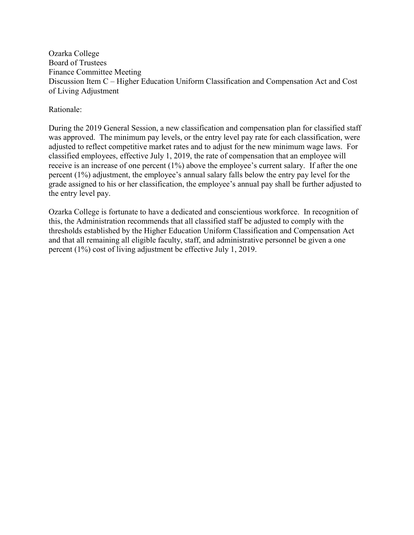Ozarka College Board of Trustees Finance Committee Meeting Discussion Item C – Higher Education Uniform Classification and Compensation Act and Cost of Living Adjustment

Rationale:

During the 2019 General Session, a new classification and compensation plan for classified staff was approved. The minimum pay levels, or the entry level pay rate for each classification, were adjusted to reflect competitive market rates and to adjust for the new minimum wage laws. For classified employees, effective July 1, 2019, the rate of compensation that an employee will receive is an increase of one percent (1%) above the employee's current salary. If after the one percent (1%) adjustment, the employee's annual salary falls below the entry pay level for the grade assigned to his or her classification, the employee's annual pay shall be further adjusted to the entry level pay.

Ozarka College is fortunate to have a dedicated and conscientious workforce. In recognition of this, the Administration recommends that all classified staff be adjusted to comply with the thresholds established by the Higher Education Uniform Classification and Compensation Act and that all remaining all eligible faculty, staff, and administrative personnel be given a one percent (1%) cost of living adjustment be effective July 1, 2019.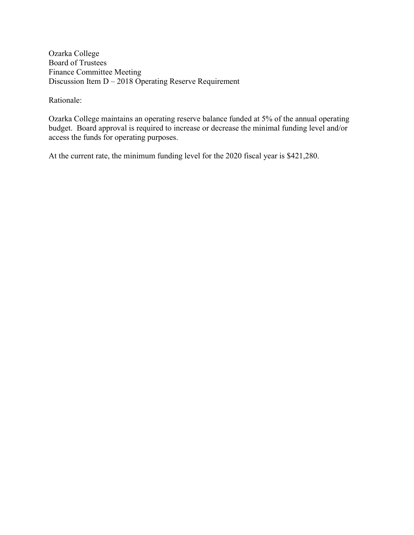Ozarka College Board of Trustees Finance Committee Meeting Discussion Item D – 2018 Operating Reserve Requirement

Rationale:

Ozarka College maintains an operating reserve balance funded at 5% of the annual operating budget. Board approval is required to increase or decrease the minimal funding level and/or access the funds for operating purposes.

At the current rate, the minimum funding level for the 2020 fiscal year is \$421,280.